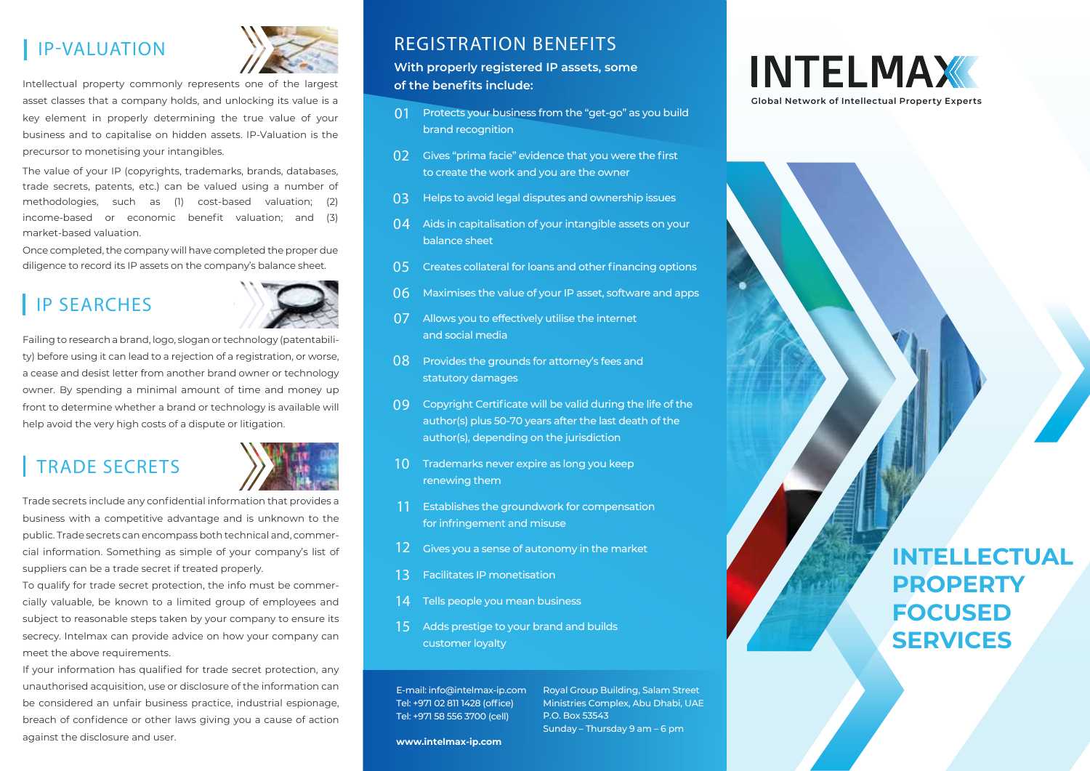

Intellectual property commonly represents one of the largest asset classes that a company holds, and unlocking its value is a key element in properly determining the true value of your business and to capitalise on hidden assets. IP-Valuation is the precursor to monetising your intangibles.

The value of your IP (copyrights, trademarks, brands, databases, trade secrets, patents, etc.) can be valued using a number of methodologies, such as (1) cost-based valuation; (2) income-based or economic benefit valuation; and (3) market-based valuation.

Once completed, the company will have completed the proper due diligence to record its IP assets on the company's balance sheet.

# IP SEARCHES



Failing to research a brand, logo, slogan or technology (patentability) before using it can lead to a rejection of a registration, or worse, a cease and desist letter from another brand owner or technology owner. By spending a minimal amount of time and money up front to determine whether a brand or technology is available will help avoid the very high costs of a dispute or litigation.

# TRADE SECRETS



Trade secrets include any confidential information that provides a business with a competitive advantage and is unknown to the public. Trade secrets can encompass both technical and, commercial information. Something as simple of your company's list of suppliers can be a trade secret if treated properly.

To qualify for trade secret protection, the info must be commercially valuable, be known to a limited group of employees and subject to reasonable steps taken by your company to ensure its secrecy. Intelmax can provide advice on how your company can meet the above requirements.

If your information has qualified for trade secret protection, any unauthorised acquisition, use or disclosure of the information can be considered an unfair business practice, industrial espionage, breach of confidence or other laws giving you a cause of action against the disclosure and user.

## IP-VALUATION REGISTRATION BENEFITS

**With properly registered IP assets, some of the benefits include:**

- 01 Protects your business from the "get-go" as you build brand recognition
- 02 Gives "prima facie" evidence that you were the first to create the work and you are the owner
- 03 Helps to avoid legal disputes and ownership issues
- $04$ Aids in capitalisation of your intangible assets on your balance sheet
- 05 Creates collateral for loans and other financing options
- 06 Maximises the value of your IP asset, software and apps
- 07 Allows you to effectively utilise the internet and social media
- 08 Provides the grounds for attorney's fees and statutory damages
- 09 Copyright Certificate will be valid during the life of the author(s) plus 50-70 years after the last death of the author(s), depending on the jurisdiction
- 10 Trademarks never expire as long you keep renewing them
- 11 Establishes the groundwork for compensation for infringement and misuse
- 12 Gives you a sense of autonomy in the market
- 13 Facilitates IP monetisation
- 14 Tells people you mean business
- 15 Adds prestige to your brand and builds customer loyalty

E-mail: info@intelmax-ip.com Tel: +971 02 811 1428 (office) Tel: +971 58 556 3700 (cell)

Royal Group Building, Salam Street Ministries Complex, Abu Dhabi, UAE P.O. Box 53543 Sunday – Thursday 9 am – 6 pm

**www.intelmax-ip.com**



# **INTELLECTUAL PROPERTY FOCUSED SERVICES**